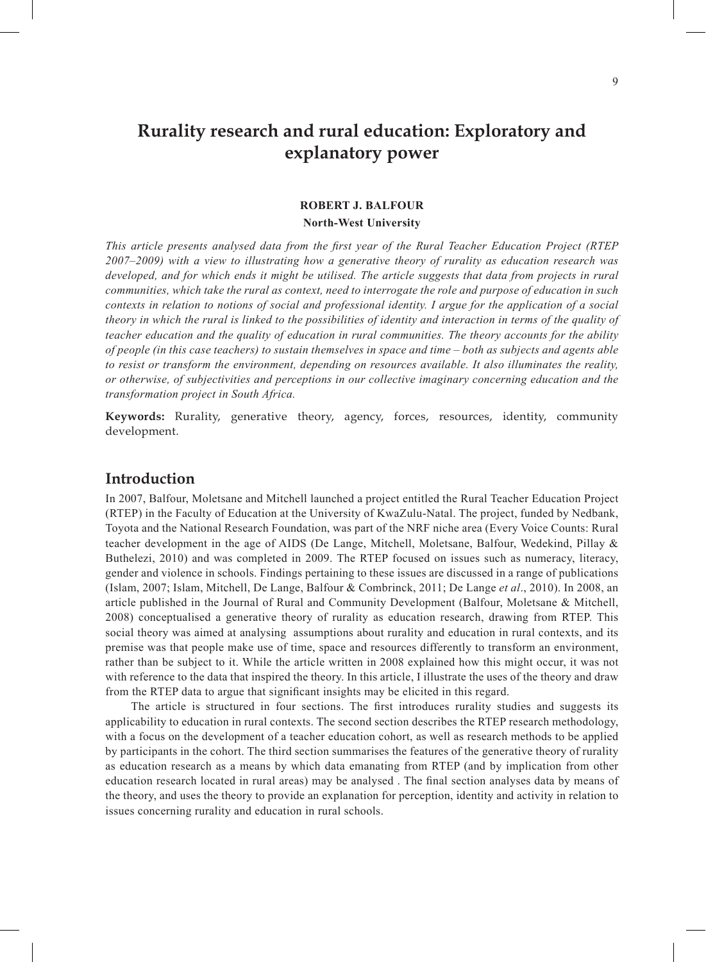# **Rurality research and rural education: Exploratory and explanatory power**

#### **ROBERT J. BALFOUR North-West University**

*This article presents analysed data from the first year of the Rural Teacher Education Project (RTEP 2007–2009) with a view to illustrating how a generative theory of rurality as education research was developed, and for which ends it might be utilised. The article suggests that data from projects in rural communities, which take the rural as context, need to interrogate the role and purpose of education in such contexts in relation to notions of social and professional identity. I argue for the application of a social theory in which the rural is linked to the possibilities of identity and interaction in terms of the quality of teacher education and the quality of education in rural communities. The theory accounts for the ability of people (in this case teachers) to sustain themselves in space and time – both as subjects and agents able to resist or transform the environment, depending on resources available. It also illuminates the reality, or otherwise, of subjectivities and perceptions in our collective imaginary concerning education and the transformation project in South Africa.*

**Keywords:** Rurality, generative theory, agency, forces, resources, identity, community development.

### **Introduction**

In 2007, Balfour, Moletsane and Mitchell launched a project entitled the Rural Teacher Education Project (RTEP) in the Faculty of Education at the University of KwaZulu-Natal. The project, funded by Nedbank, Toyota and the National Research Foundation, was part of the NRF niche area (Every Voice Counts: Rural teacher development in the age of AIDS (De Lange, Mitchell, Moletsane, Balfour, Wedekind, Pillay & Buthelezi, 2010) and was completed in 2009. The RTEP focused on issues such as numeracy, literacy, gender and violence in schools. Findings pertaining to these issues are discussed in a range of publications (Islam, 2007; Islam, Mitchell, De Lange, Balfour & Combrinck, 2011; De Lange *et al*., 2010). In 2008, an article published in the Journal of Rural and Community Development (Balfour, Moletsane & Mitchell, 2008) conceptualised a generative theory of rurality as education research, drawing from RTEP. This social theory was aimed at analysing assumptions about rurality and education in rural contexts, and its premise was that people make use of time, space and resources differently to transform an environment, rather than be subject to it. While the article written in 2008 explained how this might occur, it was not with reference to the data that inspired the theory. In this article, I illustrate the uses of the theory and draw from the RTEP data to argue that significant insights may be elicited in this regard.

The article is structured in four sections. The first introduces rurality studies and suggests its applicability to education in rural contexts. The second section describes the RTEP research methodology, with a focus on the development of a teacher education cohort, as well as research methods to be applied by participants in the cohort. The third section summarises the features of the generative theory of rurality as education research as a means by which data emanating from RTEP (and by implication from other education research located in rural areas) may be analysed . The final section analyses data by means of the theory, and uses the theory to provide an explanation for perception, identity and activity in relation to issues concerning rurality and education in rural schools.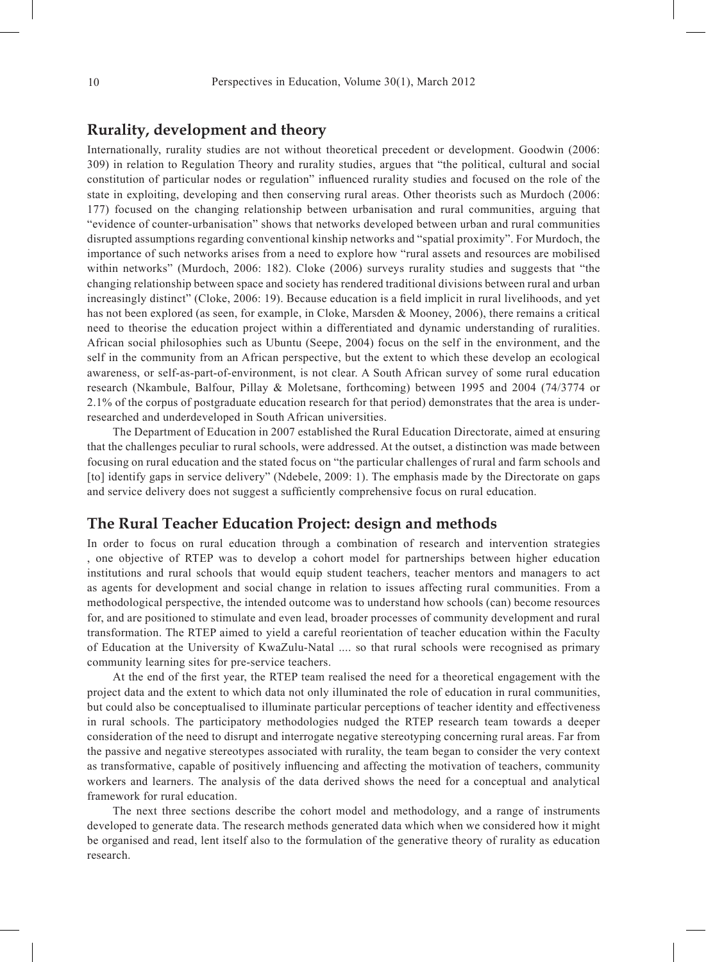#### **Rurality, development and theory**

Internationally, rurality studies are not without theoretical precedent or development. Goodwin (2006: 309) in relation to Regulation Theory and rurality studies, argues that "the political, cultural and social constitution of particular nodes or regulation" influenced rurality studies and focused on the role of the state in exploiting, developing and then conserving rural areas. Other theorists such as Murdoch (2006: 177) focused on the changing relationship between urbanisation and rural communities, arguing that "evidence of counter-urbanisation" shows that networks developed between urban and rural communities disrupted assumptions regarding conventional kinship networks and "spatial proximity". For Murdoch, the importance of such networks arises from a need to explore how "rural assets and resources are mobilised within networks" (Murdoch, 2006: 182). Cloke (2006) surveys rurality studies and suggests that "the changing relationship between space and society has rendered traditional divisions between rural and urban increasingly distinct" (Cloke, 2006: 19). Because education is a field implicit in rural livelihoods, and yet has not been explored (as seen, for example, in Cloke, Marsden & Mooney, 2006), there remains a critical need to theorise the education project within a differentiated and dynamic understanding of ruralities. African social philosophies such as Ubuntu (Seepe, 2004) focus on the self in the environment, and the self in the community from an African perspective, but the extent to which these develop an ecological awareness, or self-as-part-of-environment, is not clear. A South African survey of some rural education research (Nkambule, Balfour, Pillay & Moletsane, forthcoming) between 1995 and 2004 (74/3774 or 2.1% of the corpus of postgraduate education research for that period) demonstrates that the area is underresearched and underdeveloped in South African universities.

The Department of Education in 2007 established the Rural Education Directorate, aimed at ensuring that the challenges peculiar to rural schools, were addressed. At the outset, a distinction was made between focusing on rural education and the stated focus on "the particular challenges of rural and farm schools and [to] identify gaps in service delivery" (Ndebele, 2009: 1). The emphasis made by the Directorate on gaps and service delivery does not suggest a sufficiently comprehensive focus on rural education.

#### **The Rural Teacher Education Project: design and methods**

In order to focus on rural education through a combination of research and intervention strategies , one objective of RTEP was to develop a cohort model for partnerships between higher education institutions and rural schools that would equip student teachers, teacher mentors and managers to act as agents for development and social change in relation to issues affecting rural communities. From a methodological perspective, the intended outcome was to understand how schools (can) become resources for, and are positioned to stimulate and even lead, broader processes of community development and rural transformation. The RTEP aimed to yield a careful reorientation of teacher education within the Faculty of Education at the University of KwaZulu-Natal .... so that rural schools were recognised as primary community learning sites for pre-service teachers.

At the end of the first year, the RTEP team realised the need for a theoretical engagement with the project data and the extent to which data not only illuminated the role of education in rural communities, but could also be conceptualised to illuminate particular perceptions of teacher identity and effectiveness in rural schools. The participatory methodologies nudged the RTEP research team towards a deeper consideration of the need to disrupt and interrogate negative stereotyping concerning rural areas. Far from the passive and negative stereotypes associated with rurality, the team began to consider the very context as transformative, capable of positively influencing and affecting the motivation of teachers, community workers and learners. The analysis of the data derived shows the need for a conceptual and analytical framework for rural education.

The next three sections describe the cohort model and methodology, and a range of instruments developed to generate data. The research methods generated data which when we considered how it might be organised and read, lent itself also to the formulation of the generative theory of rurality as education research.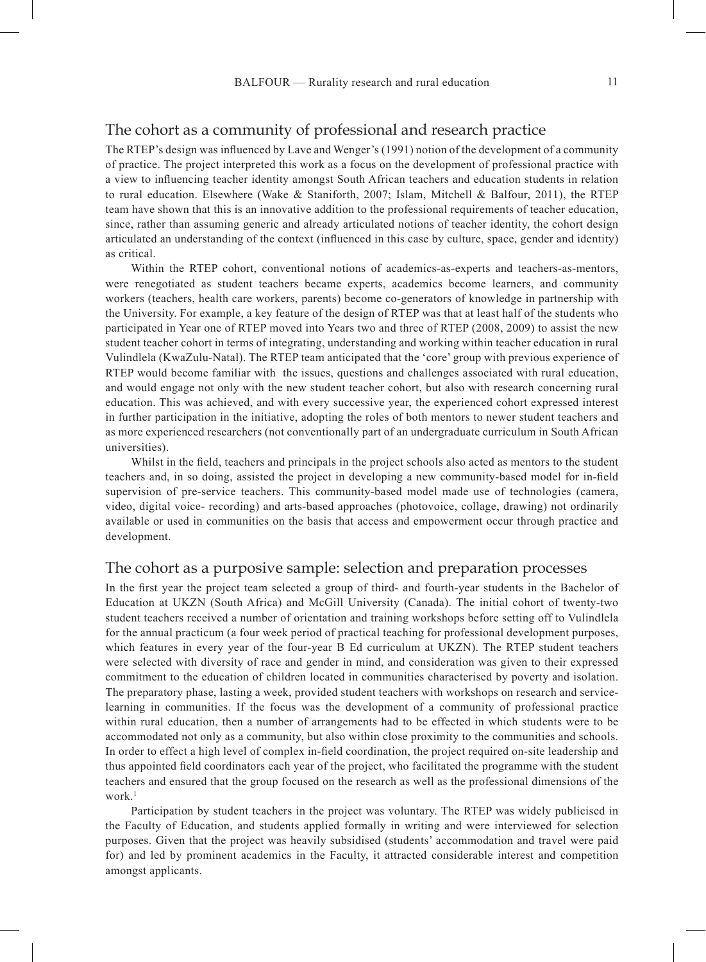The RTEP's design was influenced by Lave and Wenger's (1991) notion of the development of a community of practice. The project interpreted this work as a focus on the development of professional practice with a view to influencing teacher identity amongst South African teachers and education students in relation to rural education. Elsewhere (Wake & Staniforth, 2007; Islam, Mitchell & Balfour, 2011), the RTEP team have shown that this is an innovative addition to the professional requirements of teacher education, since, rather than assuming generic and already articulated notions of teacher identity, the cohort design articulated an understanding of the context (influenced in this case by culture, space, gender and identity) as critical.

Within the RTEP cohort, conventional notions of academics-as-experts and teachers-as-mentors, were renegotiated as student teachers became experts, academics become learners, and community workers (teachers, health care workers, parents) become co-generators of knowledge in partnership with the University. For example, a key feature of the design of RTEP was that at least half of the students who participated in Year one of RTEP moved into Years two and three of RTEP (2008, 2009) to assist the new student teacher cohort in terms of integrating, understanding and working within teacher education in rural Vulindlela (KwaZulu-Natal). The RTEP team anticipated that the 'core' group with previous experience of RTEP would become familiar with the issues, questions and challenges associated with rural education, and would engage not only with the new student teacher cohort, but also with research concerning rural education. This was achieved, and with every successive year, the experienced cohort expressed interest in further participation in the initiative, adopting the roles of both mentors to newer student teachers and as more experienced researchers (not conventionally part of an undergraduate curriculum in South African universities).

Whilst in the field, teachers and principals in the project schools also acted as mentors to the student teachers and, in so doing, assisted the project in developing a new community-based model for in-field supervision of pre-service teachers. This community-based model made use of technologies (camera, video, digital voice- recording) and arts-based approaches (photovoice, collage, drawing) not ordinarily available or used in communities on the basis that access and empowerment occur through practice and development.

#### The cohort as a purposive sample: selection and preparation processes

In the first year the project team selected a group of third- and fourth-year students in the Bachelor of Education at UKZN (South Africa) and McGill University (Canada). The initial cohort of twenty-two student teachers received a number of orientation and training workshops before setting off to Vulindlela for the annual practicum (a four week period of practical teaching for professional development purposes, which features in every year of the four-year B Ed curriculum at UKZN). The RTEP student teachers were selected with diversity of race and gender in mind, and consideration was given to their expressed commitment to the education of children located in communities characterised by poverty and isolation. The preparatory phase, lasting a week, provided student teachers with workshops on research and servicelearning in communities. If the focus was the development of a community of professional practice within rural education, then a number of arrangements had to be effected in which students were to be accommodated not only as a community, but also within close proximity to the communities and schools. In order to effect a high level of complex in-field coordination, the project required on-site leadership and thus appointed field coordinators each year of the project, who facilitated the programme with the student teachers and ensured that the group focused on the research as well as the professional dimensions of the work.<sup>1</sup>

Participation by student teachers in the project was voluntary. The RTEP was widely publicised in the Faculty of Education, and students applied formally in writing and were interviewed for selection purposes. Given that the project was heavily subsidised (students' accommodation and travel were paid for) and led by prominent academics in the Faculty, it attracted considerable interest and competition amongst applicants.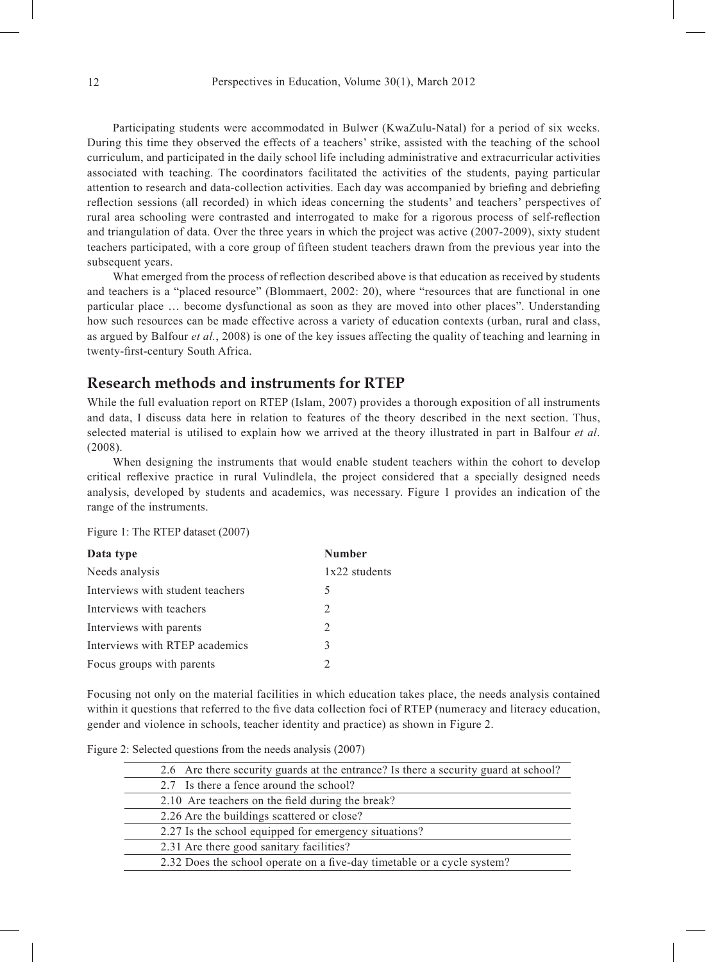Participating students were accommodated in Bulwer (KwaZulu-Natal) for a period of six weeks. During this time they observed the effects of a teachers' strike, assisted with the teaching of the school curriculum, and participated in the daily school life including administrative and extracurricular activities associated with teaching. The coordinators facilitated the activities of the students, paying particular attention to research and data-collection activities. Each day was accompanied by briefing and debriefing reflection sessions (all recorded) in which ideas concerning the students' and teachers' perspectives of rural area schooling were contrasted and interrogated to make for a rigorous process of self-reflection and triangulation of data. Over the three years in which the project was active (2007-2009), sixty student teachers participated, with a core group of fifteen student teachers drawn from the previous year into the subsequent years.

What emerged from the process of reflection described above is that education as received by students and teachers is a "placed resource" (Blommaert, 2002: 20), where "resources that are functional in one particular place … become dysfunctional as soon as they are moved into other places". Understanding how such resources can be made effective across a variety of education contexts (urban, rural and class, as argued by Balfour *et al.*, 2008) is one of the key issues affecting the quality of teaching and learning in twenty-first-century South Africa.

#### **Research methods and instruments for RTEP**

While the full evaluation report on RTEP (Islam, 2007) provides a thorough exposition of all instruments and data, I discuss data here in relation to features of the theory described in the next section. Thus, selected material is utilised to explain how we arrived at the theory illustrated in part in Balfour *et al*. (2008).

When designing the instruments that would enable student teachers within the cohort to develop critical reflexive practice in rural Vulindlela, the project considered that a specially designed needs analysis, developed by students and academics, was necessary. Figure 1 provides an indication of the range of the instruments.

Figure 1: The RTEP dataset (2007)

| Data type                        | <b>Number</b>                 |  |
|----------------------------------|-------------------------------|--|
| Needs analysis                   | 1x22 students                 |  |
| Interviews with student teachers | 5                             |  |
| Interviews with teachers         | 2                             |  |
| Interviews with parents          | $\mathfrak{D}_{\mathfrak{p}}$ |  |
| Interviews with RTEP academics   | 3                             |  |
| Focus groups with parents        |                               |  |

Focusing not only on the material facilities in which education takes place, the needs analysis contained within it questions that referred to the five data collection foci of RTEP (numeracy and literacy education, gender and violence in schools, teacher identity and practice) as shown in Figure 2.

|  | Figure 2: Selected questions from the needs analysis (2007) |  |  |
|--|-------------------------------------------------------------|--|--|
|  |                                                             |  |  |

| 2.6 Are there security guards at the entrance? Is there a security guard at school? |
|-------------------------------------------------------------------------------------|
| 2.7 Is there a fence around the school?                                             |
| 2.10 Are teachers on the field during the break?                                    |
| 2.26 Are the buildings scattered or close?                                          |
| 2.27 Is the school equipped for emergency situations?                               |
| 2.31 Are there good sanitary facilities?                                            |
| 2.32 Does the school operate on a five-day timetable or a cycle system?             |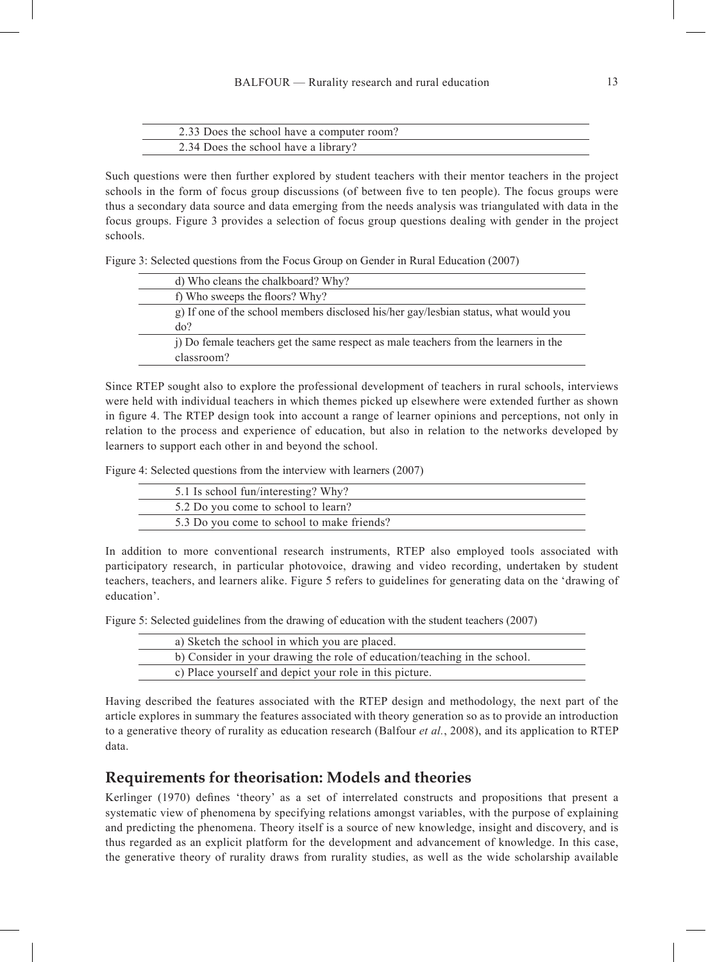| 2.33 Does the school have a computer room? |  |
|--------------------------------------------|--|
| 2.34 Does the school have a library?       |  |

Such questions were then further explored by student teachers with their mentor teachers in the project schools in the form of focus group discussions (of between five to ten people). The focus groups were thus a secondary data source and data emerging from the needs analysis was triangulated with data in the focus groups. Figure 3 provides a selection of focus group questions dealing with gender in the project schools.

Figure 3: Selected questions from the Focus Group on Gender in Rural Education (2007)

| d) Who cleans the chalkboard? Why?                                                    |  |
|---------------------------------------------------------------------------------------|--|
| f) Who sweeps the floors? Why?                                                        |  |
| g) If one of the school members disclosed his/her gay/lesbian status, what would you  |  |
| $d\sigma$ ?                                                                           |  |
| (i) Do female teachers get the same respect as male teachers from the learners in the |  |
| classroom?                                                                            |  |

Since RTEP sought also to explore the professional development of teachers in rural schools, interviews were held with individual teachers in which themes picked up elsewhere were extended further as shown in figure 4. The RTEP design took into account a range of learner opinions and perceptions, not only in relation to the process and experience of education, but also in relation to the networks developed by learners to support each other in and beyond the school.

Figure 4: Selected questions from the interview with learners (2007)

| 5.1 Is school fun/interesting? Why?        |  |
|--------------------------------------------|--|
| 5.2 Do you come to school to learn?        |  |
| 5.3 Do you come to school to make friends? |  |

In addition to more conventional research instruments, RTEP also employed tools associated with participatory research, in particular photovoice, drawing and video recording, undertaken by student teachers, teachers, and learners alike. Figure 5 refers to guidelines for generating data on the 'drawing of education'.

Figure 5: Selected guidelines from the drawing of education with the student teachers (2007)

| a) Sketch the school in which you are placed.                             |  |
|---------------------------------------------------------------------------|--|
| b) Consider in your drawing the role of education/teaching in the school. |  |
| c) Place yourself and depict your role in this picture.                   |  |

Having described the features associated with the RTEP design and methodology, the next part of the article explores in summary the features associated with theory generation so as to provide an introduction to a generative theory of rurality as education research (Balfour *et al.*, 2008), and its application to RTEP data.

## **Requirements for theorisation: Models and theories**

Kerlinger (1970) defines 'theory' as a set of interrelated constructs and propositions that present a systematic view of phenomena by specifying relations amongst variables, with the purpose of explaining and predicting the phenomena. Theory itself is a source of new knowledge, insight and discovery, and is thus regarded as an explicit platform for the development and advancement of knowledge. In this case, the generative theory of rurality draws from rurality studies, as well as the wide scholarship available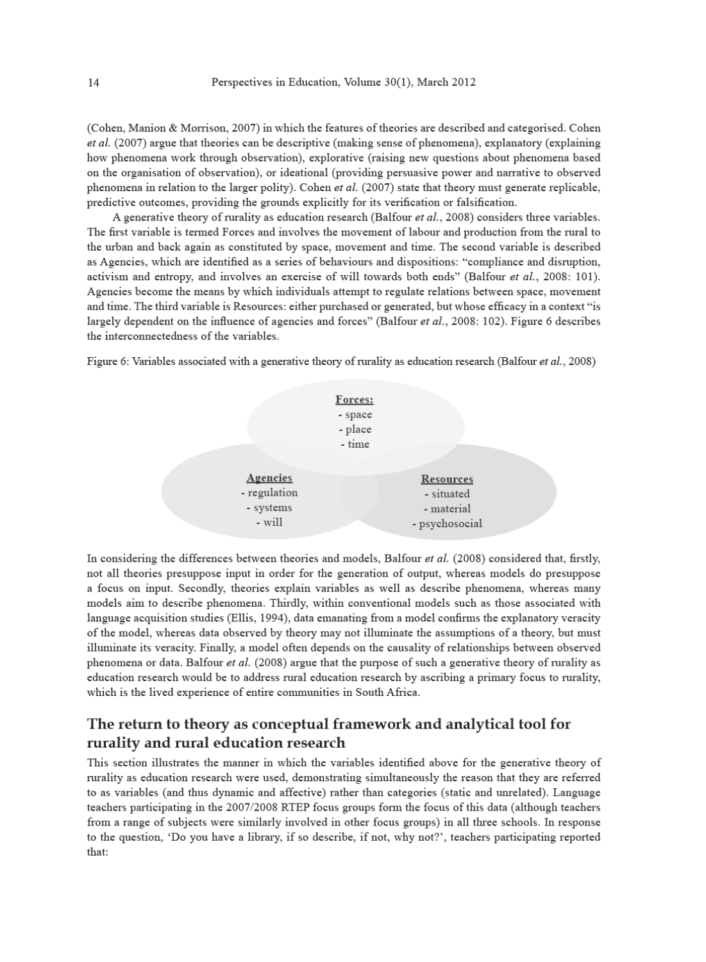(Cohen, Manion & Morrison, 2007) in which the features of theories are described and categorised. Cohen  $et al. (2007)$  argue that theories can be descriptive (making sense of phenomena), explanatory (explaining how phenomena work through observation), explorative (raising new questions about phenomena based on the organisation of observation), or ideational (providing persuasive power and narrative to observed phenomena in relation to the larger polity). Cohen et al.  $(2007)$  state that theory must generate replicable, predictive outcomes, providing the grounds explicitly for its verification or falsification.

A generative theory of rurality as education research (Balfour et al., 2008) considers three variables. The first variable is termed Forces and involves the movement of labour and production from the rural to the urban and back again as constituted by space, movement and time. The second variable is described as Agencies, which are identified as a series of behaviours and dispositions: "compliance and disruption, activism and entropy, and involves an exercise of will towards both ends" (Balfour et al., 2008: 101). Agencies become the means by which individuals attempt to regulate relations between space, movement and time. The third variable is Resources: either purchased or generated, but whose efficacy in a context "is largely dependent on the influence of agencies and forces" (Balfour et al., 2008: 102). Figure 6 describes the interconnectedness of the variables.

Figure 6: Variables associated with a generative theory of rurality as education research (Balfour et al., 2008)



In considering the differences between theories and models, Balfour et al. (2008) considered that, firstly, not all theories presuppose input in order for the generation of output, whereas models do presuppose a focus on input. Secondly, theories explain variables as well as describe phenomena, whereas many models aim to describe phenomena. Thirdly, within conventional models such as those associated with language acquisition studies (Ellis, 1994), data emanating from a model confirms the explanatory veracity of the model, whereas data observed by theory may not illuminate the assumptions of a theory, but must illuminate its veracity. Finally, a model often depends on the causality of relationships between observed phenomena or data. Balfour et al. (2008) argue that the purpose of such a generative theory of rurality as education research would be to address rural education research by ascribing a primary focus to rurality, which is the lived experience of entire communities in South Africa.

## The return to theory as conceptual framework and analytical tool for rurality and rural education research

This section illustrates the manner in which the variables identified above for the generative theory of rurality as education research were used, demonstrating simultaneously the reason that they are referred to as variables (and thus dynamic and affective) rather than categories (static and unrelated). Language teachers participating in the 2007/2008 RTEP focus groups form the focus of this data (although teachers from a range of subjects were similarly involved in other focus groups) in all three schools. In response to the question, 'Do you have a library, if so describe, if not, why not?', teachers participating reported that: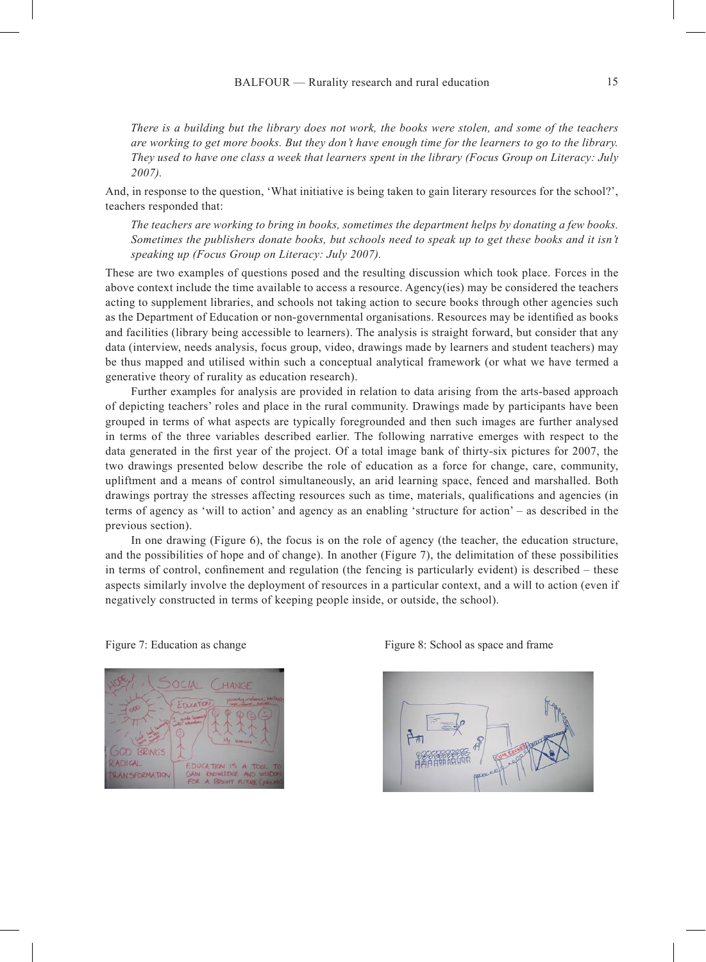*There is a building but the library does not work, the books were stolen, and some of the teachers are working to get more books. But they don't have enough time for the learners to go to the library. They used to have one class a week that learners spent in the library (Focus Group on Literacy: July 2007).*

And, in response to the question, 'What initiative is being taken to gain literary resources for the school?', teachers responded that:

*The teachers are working to bring in books, sometimes the department helps by donating a few books. Sometimes the publishers donate books, but schools need to speak up to get these books and it isn't speaking up (Focus Group on Literacy: July 2007).*

These are two examples of questions posed and the resulting discussion which took place. Forces in the above context include the time available to access a resource. Agency(ies) may be considered the teachers acting to supplement libraries, and schools not taking action to secure books through other agencies such as the Department of Education or non-governmental organisations. Resources may be identified as books and facilities (library being accessible to learners). The analysis is straight forward, but consider that any data (interview, needs analysis, focus group, video, drawings made by learners and student teachers) may be thus mapped and utilised within such a conceptual analytical framework (or what we have termed a generative theory of rurality as education research).

Further examples for analysis are provided in relation to data arising from the arts-based approach of depicting teachers' roles and place in the rural community. Drawings made by participants have been grouped in terms of what aspects are typically foregrounded and then such images are further analysed in terms of the three variables described earlier. The following narrative emerges with respect to the data generated in the first year of the project. Of a total image bank of thirty-six pictures for 2007, the two drawings presented below describe the role of education as a force for change, care, community, upliftment and a means of control simultaneously, an arid learning space, fenced and marshalled. Both drawings portray the stresses affecting resources such as time, materials, qualifications and agencies (in terms of agency as 'will to action' and agency as an enabling 'structure for action' – as described in the previous section).

In one drawing (Figure 6), the focus is on the role of agency (the teacher, the education structure, and the possibilities of hope and of change). In another (Figure 7), the delimitation of these possibilities in terms of control, confinement and regulation (the fencing is particularly evident) is described – these aspects similarly involve the deployment of resources in a particular context, and a will to action (even if negatively constructed in terms of keeping people inside, or outside, the school).



Figure 7: Education as change Figure 8: School as space and frame

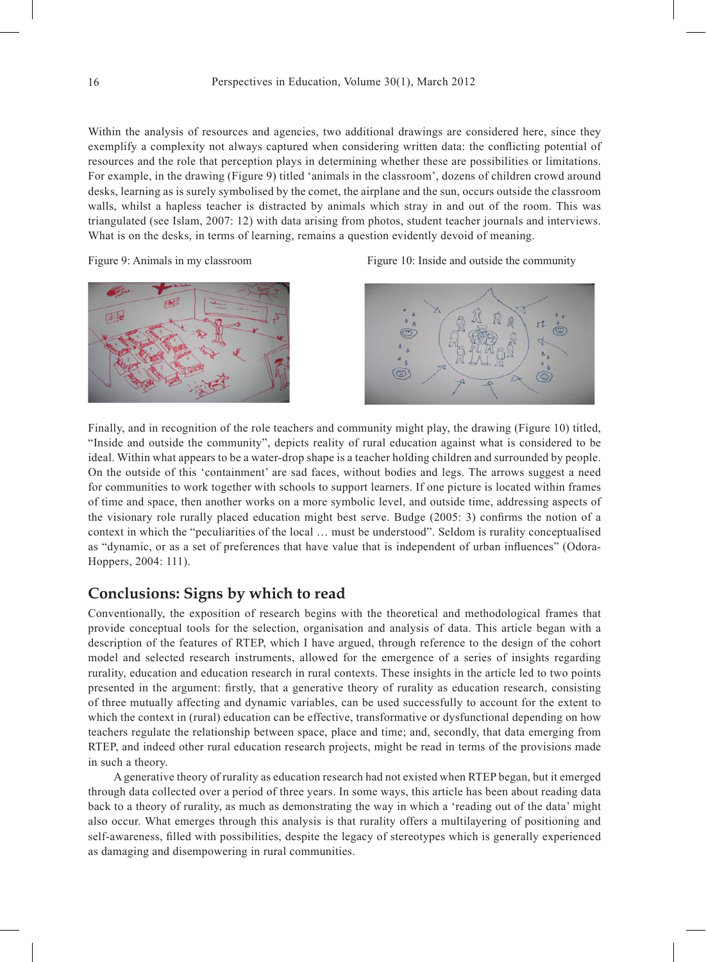Within the analysis of resources and agencies, two additional drawings are considered here, since they exemplify a complexity not always captured when considering written data: the conflicting potential of resources and the role that perception plays in determining whether these are possibilities or limitations. For example, in the drawing (Figure 9) titled 'animals in the classroom', dozens of children crowd around desks, learning as is surely symbolised by the comet, the airplane and the sun, occurs outside the classroom walls, whilst a hapless teacher is distracted by animals which stray in and out of the room. This was triangulated (see Islam, 2007: 12) with data arising from photos, student teacher journals and interviews. What is on the desks, in terms of learning, remains a question evidently devoid of meaning.



Figure 9: Animals in my classroom Figure 10: Inside and outside the community



Finally, and in recognition of the role teachers and community might play, the drawing (Figure 10) titled, "Inside and outside the community", depicts reality of rural education against what is considered to be ideal. Within what appears to be a water-drop shape is a teacher holding children and surrounded by people. On the outside of this 'containment' are sad faces, without bodies and legs. The arrows suggest a need for communities to work together with schools to support learners. If one picture is located within frames of time and space, then another works on a more symbolic level, and outside time, addressing aspects of the visionary role rurally placed education might best serve. Budge (2005: 3) confirms the notion of a context in which the "peculiarities of the local … must be understood". Seldom is rurality conceptualised as "dynamic, or as a set of preferences that have value that is independent of urban influences" (Odora-Hoppers, 2004: 111).

# **Conclusions: Signs by which to read**

Conventionally, the exposition of research begins with the theoretical and methodological frames that provide conceptual tools for the selection, organisation and analysis of data. This article began with a description of the features of RTEP, which I have argued, through reference to the design of the cohort model and selected research instruments, allowed for the emergence of a series of insights regarding rurality, education and education research in rural contexts. These insights in the article led to two points presented in the argument: firstly, that a generative theory of rurality as education research, consisting of three mutually affecting and dynamic variables, can be used successfully to account for the extent to which the context in (rural) education can be effective, transformative or dysfunctional depending on how teachers regulate the relationship between space, place and time; and, secondly, that data emerging from RTEP, and indeed other rural education research projects, might be read in terms of the provisions made in such a theory.

A generative theory of rurality as education research had not existed when RTEP began, but it emerged through data collected over a period of three years. In some ways, this article has been about reading data back to a theory of rurality, as much as demonstrating the way in which a 'reading out of the data' might also occur. What emerges through this analysis is that rurality offers a multilayering of positioning and self-awareness, filled with possibilities, despite the legacy of stereotypes which is generally experienced as damaging and disempowering in rural communities.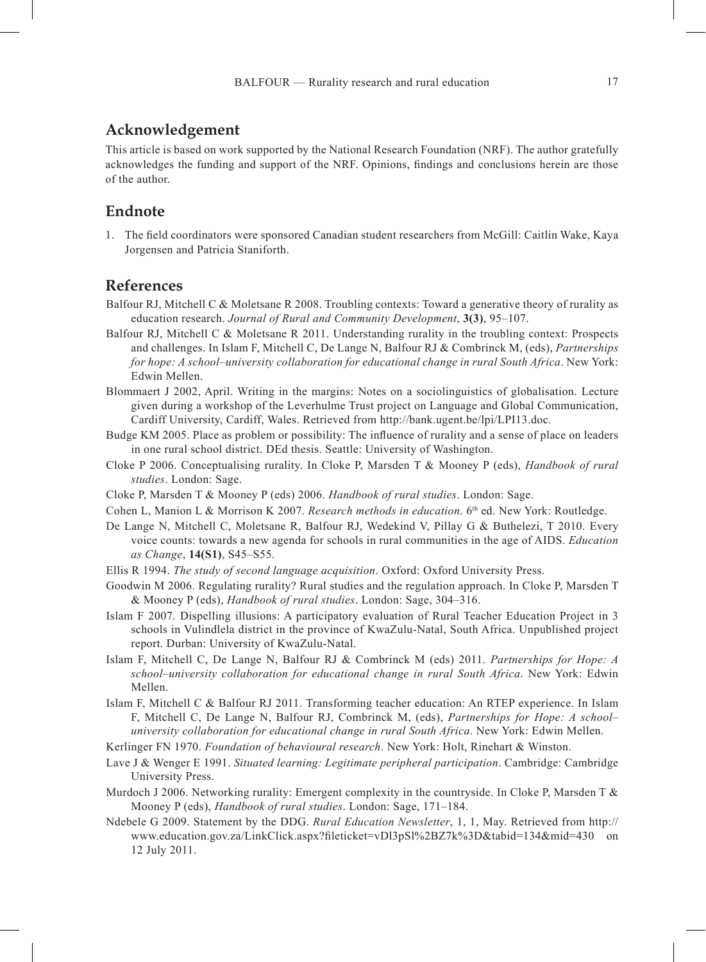### **Acknowledgement**

This article is based on work supported by the National Research Foundation (NRF). The author gratefully acknowledges the funding and support of the NRF. Opinions, findings and conclusions herein are those of the author.

## **Endnote**

1. The field coordinators were sponsored Canadian student researchers from McGill: Caitlin Wake, Kaya Jorgensen and Patricia Staniforth.

## **References**

- Balfour RJ, Mitchell C & Moletsane R 2008. Troubling contexts: Toward a generative theory of rurality as education research. *Journal of Rural and Community Development*, **3(3)**, 95–107.
- Balfour RJ, Mitchell C & Moletsane R 2011. Understanding rurality in the troubling context: Prospects and challenges. In Islam F, Mitchell C, De Lange N, Balfour RJ & Combrinck M, (eds), *Partnerships for hope: A school–university collaboration for educational change in rural South Africa*. New York: Edwin Mellen.
- Blommaert J 2002, April. Writing in the margins: Notes on a sociolinguistics of globalisation. Lecture given during a workshop of the Leverhulme Trust project on Language and Global Communication, Cardiff University, Cardiff, Wales. Retrieved from http://bank.ugent.be/lpi/LPI13.doc.
- Budge KM 2005. Place as problem or possibility: The influence of rurality and a sense of place on leaders in one rural school district. DEd thesis. Seattle: University of Washington.
- Cloke P 2006. Conceptualising rurality. In Cloke P, Marsden T & Mooney P (eds), *Handbook of rural studies*. London: Sage.
- Cloke P, Marsden T & Mooney P (eds) 2006. *Handbook of rural studies*. London: Sage.
- Cohen L, Manion L & Morrison K 2007. *Research methods in education*. 6<sup>th</sup> ed. New York: Routledge.
- De Lange N, Mitchell C, Moletsane R, Balfour RJ, Wedekind V, Pillay G & Buthelezi, T 2010. Every voice counts: towards a new agenda for schools in rural communities in the age of AIDS. *Education as Change*, **14(S1)**, S45–S55.
- Ellis R 1994. *The study of second language acquisition*. Oxford: Oxford University Press.
- Goodwin M 2006. Regulating rurality? Rural studies and the regulation approach. In Cloke P, Marsden T & Mooney P (eds), *Handbook of rural studies*. London: Sage, 304–316.
- Islam F 2007. Dispelling illusions: A participatory evaluation of Rural Teacher Education Project in 3 schools in Vulindlela district in the province of KwaZulu-Natal, South Africa. Unpublished project report. Durban: University of KwaZulu-Natal.
- Islam F, Mitchell C, De Lange N, Balfour RJ & Combrinck M (eds) 2011. *Partnerships for Hope: A school–university collaboration for educational change in rural South Africa*. New York: Edwin Mellen.
- Islam F, Mitchell C & Balfour RJ 2011. Transforming teacher education: An RTEP experience. In Islam F, Mitchell C, De Lange N, Balfour RJ, Combrinck M, (eds), *Partnerships for Hope: A school– university collaboration for educational change in rural South Africa*. New York: Edwin Mellen.
- Kerlinger FN 1970. *Foundation of behavioural research*. New York: Holt, Rinehart & Winston.
- Lave J & Wenger E 1991. *Situated learning: Legitimate peripheral participation*. Cambridge: Cambridge University Press.
- Murdoch J 2006. Networking rurality: Emergent complexity in the countryside. In Cloke P, Marsden T & Mooney P (eds), *Handbook of rural studies*. London: Sage, 171–184.
- Ndebele G 2009. Statement by the DDG. *Rural Education Newsletter*, 1, 1, May. Retrieved from http:// www.education.gov.za/LinkClick.aspx?fileticket=vDl3pSl%2BZ7k%3D&tabid=134&mid=430 on 12 July 2011.